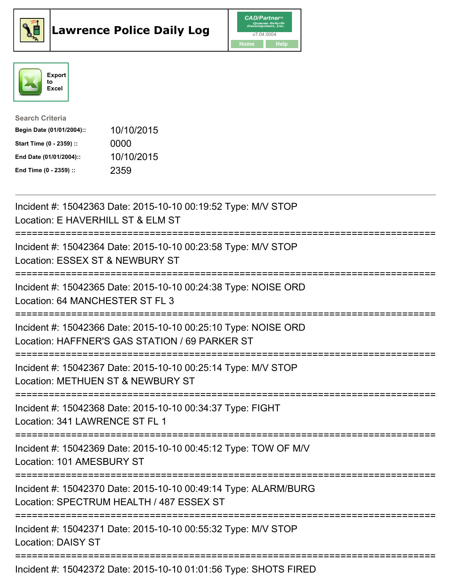





| <b>Search Criteria</b>    |            |
|---------------------------|------------|
| Begin Date (01/01/2004):: | 10/10/2015 |
| Start Time (0 - 2359) ::  | 0000       |
| End Date (01/01/2004)::   | 10/10/2015 |
| End Time (0 - 2359) ::    | 2359       |

| Incident #: 15042363 Date: 2015-10-10 00:19:52 Type: M/V STOP<br>Location: E HAVERHILL ST & ELM ST                               |
|----------------------------------------------------------------------------------------------------------------------------------|
| Incident #: 15042364 Date: 2015-10-10 00:23:58 Type: M/V STOP<br>Location: ESSEX ST & NEWBURY ST                                 |
| Incident #: 15042365 Date: 2015-10-10 00:24:38 Type: NOISE ORD<br>Location: 64 MANCHESTER ST FL 3                                |
| Incident #: 15042366 Date: 2015-10-10 00:25:10 Type: NOISE ORD<br>Location: HAFFNER'S GAS STATION / 69 PARKER ST                 |
| Incident #: 15042367 Date: 2015-10-10 00:25:14 Type: M/V STOP<br>Location: METHUEN ST & NEWBURY ST                               |
| Incident #: 15042368 Date: 2015-10-10 00:34:37 Type: FIGHT<br>Location: 341 LAWRENCE ST FL 1                                     |
| Incident #: 15042369 Date: 2015-10-10 00:45:12 Type: TOW OF M/V<br>Location: 101 AMESBURY ST                                     |
| Incident #: 15042370 Date: 2015-10-10 00:49:14 Type: ALARM/BURG<br>Location: SPECTRUM HEALTH / 487 ESSEX ST                      |
| ==================================<br>Incident #: 15042371 Date: 2015-10-10 00:55:32 Type: M/V STOP<br><b>Location: DAISY ST</b> |
| Incident #: 15042372 Date: 2015-10-10 01:01:56 Type: SHOTS FIRED                                                                 |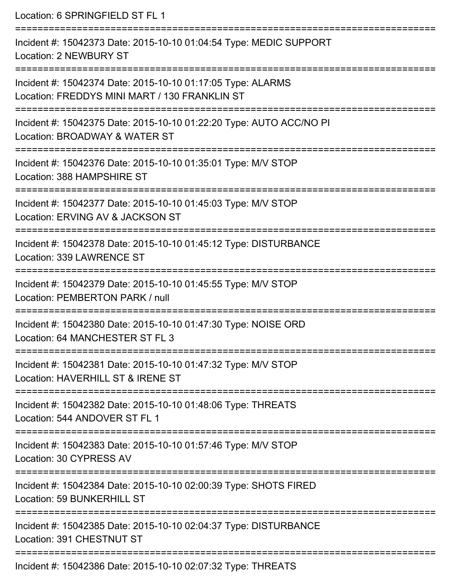Location: 6 SPRINGFIELD ST FL 1

| Incident #: 15042373 Date: 2015-10-10 01:04:54 Type: MEDIC SUPPORT<br><b>Location: 2 NEWBURY ST</b>          |
|--------------------------------------------------------------------------------------------------------------|
| Incident #: 15042374 Date: 2015-10-10 01:17:05 Type: ALARMS<br>Location: FREDDYS MINI MART / 130 FRANKLIN ST |
| Incident #: 15042375 Date: 2015-10-10 01:22:20 Type: AUTO ACC/NO PI<br>Location: BROADWAY & WATER ST         |
| Incident #: 15042376 Date: 2015-10-10 01:35:01 Type: M/V STOP<br>Location: 388 HAMPSHIRE ST                  |
| Incident #: 15042377 Date: 2015-10-10 01:45:03 Type: M/V STOP<br>Location: ERVING AV & JACKSON ST            |
| Incident #: 15042378 Date: 2015-10-10 01:45:12 Type: DISTURBANCE<br>Location: 339 LAWRENCE ST                |
| Incident #: 15042379 Date: 2015-10-10 01:45:55 Type: M/V STOP<br>Location: PEMBERTON PARK / null             |
| Incident #: 15042380 Date: 2015-10-10 01:47:30 Type: NOISE ORD<br>Location: 64 MANCHESTER ST FL 3            |
| Incident #: 15042381 Date: 2015-10-10 01:47:32 Type: M/V STOP<br>Location: HAVERHILL ST & IRENE ST           |
| Incident #: 15042382 Date: 2015-10-10 01:48:06 Type: THREATS<br>Location: 544 ANDOVER ST FL 1                |
| Incident #: 15042383 Date: 2015-10-10 01:57:46 Type: M/V STOP<br>Location: 30 CYPRESS AV                     |
| Incident #: 15042384 Date: 2015-10-10 02:00:39 Type: SHOTS FIRED<br>Location: 59 BUNKERHILL ST               |
| Incident #: 15042385 Date: 2015-10-10 02:04:37 Type: DISTURBANCE<br>Location: 391 CHESTNUT ST                |
| Incident #: 15042386 Date: 2015-10-10 02:07:32 Type: THREATS                                                 |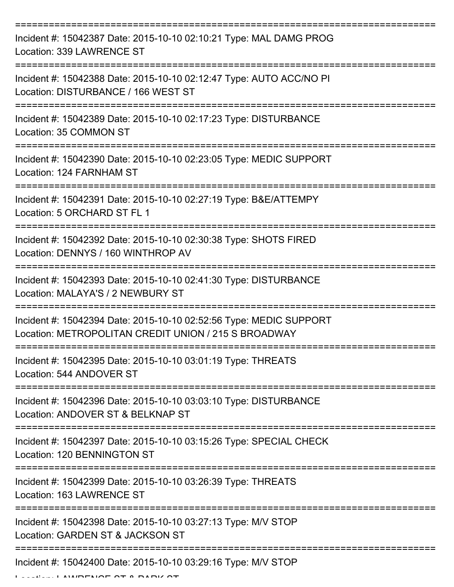| Incident #: 15042387 Date: 2015-10-10 02:10:21 Type: MAL DAMG PROG<br>Location: 339 LAWRENCE ST                            |
|----------------------------------------------------------------------------------------------------------------------------|
| Incident #: 15042388 Date: 2015-10-10 02:12:47 Type: AUTO ACC/NO PI<br>Location: DISTURBANCE / 166 WEST ST                 |
| Incident #: 15042389 Date: 2015-10-10 02:17:23 Type: DISTURBANCE<br>Location: 35 COMMON ST                                 |
| Incident #: 15042390 Date: 2015-10-10 02:23:05 Type: MEDIC SUPPORT<br>Location: 124 FARNHAM ST                             |
| Incident #: 15042391 Date: 2015-10-10 02:27:19 Type: B&E/ATTEMPY<br>Location: 5 ORCHARD ST FL 1                            |
| Incident #: 15042392 Date: 2015-10-10 02:30:38 Type: SHOTS FIRED<br>Location: DENNYS / 160 WINTHROP AV                     |
| Incident #: 15042393 Date: 2015-10-10 02:41:30 Type: DISTURBANCE<br>Location: MALAYA'S / 2 NEWBURY ST                      |
| Incident #: 15042394 Date: 2015-10-10 02:52:56 Type: MEDIC SUPPORT<br>Location: METROPOLITAN CREDIT UNION / 215 S BROADWAY |
| Incident #: 15042395 Date: 2015-10-10 03:01:19 Type: THREATS<br>Location: 544 ANDOVER ST                                   |
| Incident #: 15042396 Date: 2015-10-10 03:03:10 Type: DISTURBANCE<br>Location: ANDOVER ST & BELKNAP ST                      |
| Incident #: 15042397 Date: 2015-10-10 03:15:26 Type: SPECIAL CHECK<br>Location: 120 BENNINGTON ST                          |
| Incident #: 15042399 Date: 2015-10-10 03:26:39 Type: THREATS<br>Location: 163 LAWRENCE ST                                  |
| Incident #: 15042398 Date: 2015-10-10 03:27:13 Type: M/V STOP<br>Location: GARDEN ST & JACKSON ST                          |
| ------------------------------<br>Incident #: 15042400 Date: 2015-10-10 03:29:16 Type: M/V STOP                            |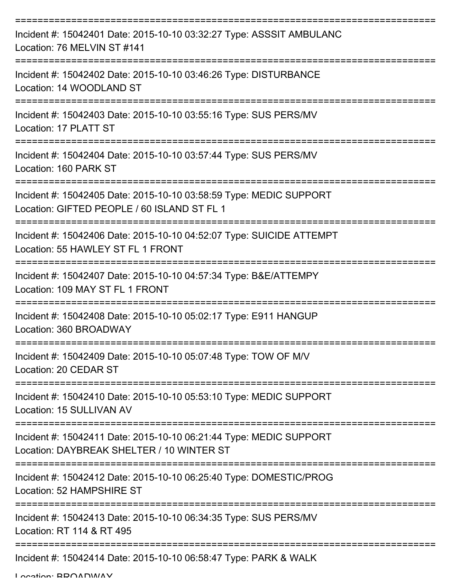| Incident #: 15042401 Date: 2015-10-10 03:32:27 Type: ASSSIT AMBULANC<br>Location: 76 MELVIN ST #141               |
|-------------------------------------------------------------------------------------------------------------------|
| Incident #: 15042402 Date: 2015-10-10 03:46:26 Type: DISTURBANCE<br>Location: 14 WOODLAND ST                      |
| Incident #: 15042403 Date: 2015-10-10 03:55:16 Type: SUS PERS/MV<br>Location: 17 PLATT ST                         |
| Incident #: 15042404 Date: 2015-10-10 03:57:44 Type: SUS PERS/MV<br>Location: 160 PARK ST                         |
| Incident #: 15042405 Date: 2015-10-10 03:58:59 Type: MEDIC SUPPORT<br>Location: GIFTED PEOPLE / 60 ISLAND ST FL 1 |
| Incident #: 15042406 Date: 2015-10-10 04:52:07 Type: SUICIDE ATTEMPT<br>Location: 55 HAWLEY ST FL 1 FRONT         |
| Incident #: 15042407 Date: 2015-10-10 04:57:34 Type: B&E/ATTEMPY<br>Location: 109 MAY ST FL 1 FRONT               |
| Incident #: 15042408 Date: 2015-10-10 05:02:17 Type: E911 HANGUP<br>Location: 360 BROADWAY                        |
| Incident #: 15042409 Date: 2015-10-10 05:07:48 Type: TOW OF M/V<br>Location: 20 CEDAR ST                          |
| Incident #: 15042410 Date: 2015-10-10 05:53:10 Type: MEDIC SUPPORT<br>Location: 15 SULLIVAN AV                    |
| Incident #: 15042411 Date: 2015-10-10 06:21:44 Type: MEDIC SUPPORT<br>Location: DAYBREAK SHELTER / 10 WINTER ST   |
| Incident #: 15042412 Date: 2015-10-10 06:25:40 Type: DOMESTIC/PROG<br>Location: 52 HAMPSHIRE ST                   |
| Incident #: 15042413 Date: 2015-10-10 06:34:35 Type: SUS PERS/MV<br>Location: RT 114 & RT 495                     |
| Incident #: 15042414 Date: 2015-10-10 06:58:47 Type: PARK & WALK                                                  |

Location: BDOADWAY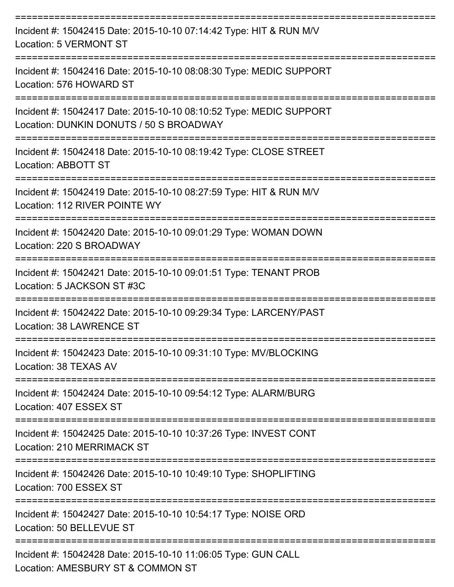| Incident #: 15042415 Date: 2015-10-10 07:14:42 Type: HIT & RUN M/V<br>Location: 5 VERMONT ST                                              |
|-------------------------------------------------------------------------------------------------------------------------------------------|
| Incident #: 15042416 Date: 2015-10-10 08:08:30 Type: MEDIC SUPPORT<br>Location: 576 HOWARD ST                                             |
| Incident #: 15042417 Date: 2015-10-10 08:10:52 Type: MEDIC SUPPORT<br>Location: DUNKIN DONUTS / 50 S BROADWAY                             |
| Incident #: 15042418 Date: 2015-10-10 08:19:42 Type: CLOSE STREET<br>Location: ABBOTT ST                                                  |
| Incident #: 15042419 Date: 2015-10-10 08:27:59 Type: HIT & RUN M/V<br>Location: 112 RIVER POINTE WY                                       |
| Incident #: 15042420 Date: 2015-10-10 09:01:29 Type: WOMAN DOWN<br>Location: 220 S BROADWAY                                               |
| Incident #: 15042421 Date: 2015-10-10 09:01:51 Type: TENANT PROB<br>Location: 5 JACKSON ST #3C                                            |
| Incident #: 15042422 Date: 2015-10-10 09:29:34 Type: LARCENY/PAST<br>Location: 38 LAWRENCE ST                                             |
| Incident #: 15042423 Date: 2015-10-10 09:31:10 Type: MV/BLOCKING<br>Location: 38 TEXAS AV                                                 |
| :==================<br>Incident #: 15042424 Date: 2015-10-10 09:54:12 Type: ALARM/BURG<br>Location: 407 ESSEX ST                          |
| Incident #: 15042425 Date: 2015-10-10 10:37:26 Type: INVEST CONT<br>Location: 210 MERRIMACK ST                                            |
| Incident #: 15042426 Date: 2015-10-10 10:49:10 Type: SHOPLIFTING<br>Location: 700 ESSEX ST                                                |
| Incident #: 15042427 Date: 2015-10-10 10:54:17 Type: NOISE ORD<br>Location: 50 BELLEVUE ST                                                |
| ===================================<br>Incident #: 15042428 Date: 2015-10-10 11:06:05 Type: GUN CALL<br>Location: AMESBURY ST & COMMON ST |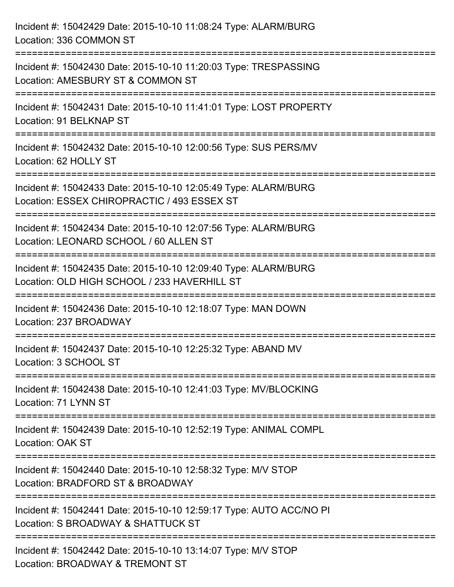| Incident #: 15042429 Date: 2015-10-10 11:08:24 Type: ALARM/BURG<br>Location: 336 COMMON ST                                                                                     |
|--------------------------------------------------------------------------------------------------------------------------------------------------------------------------------|
| Incident #: 15042430 Date: 2015-10-10 11:20:03 Type: TRESPASSING<br>Location: AMESBURY ST & COMMON ST                                                                          |
| Incident #: 15042431 Date: 2015-10-10 11:41:01 Type: LOST PROPERTY<br>Location: 91 BELKNAP ST<br>===============================                                               |
| Incident #: 15042432 Date: 2015-10-10 12:00:56 Type: SUS PERS/MV<br>Location: 62 HOLLY ST                                                                                      |
| Incident #: 15042433 Date: 2015-10-10 12:05:49 Type: ALARM/BURG<br>Location: ESSEX CHIROPRACTIC / 493 ESSEX ST<br>=========================                                    |
| Incident #: 15042434 Date: 2015-10-10 12:07:56 Type: ALARM/BURG<br>Location: LEONARD SCHOOL / 60 ALLEN ST                                                                      |
| Incident #: 15042435 Date: 2015-10-10 12:09:40 Type: ALARM/BURG<br>Location: OLD HIGH SCHOOL / 233 HAVERHILL ST<br>=====================================<br>------------------ |
| Incident #: 15042436 Date: 2015-10-10 12:18:07 Type: MAN DOWN<br>Location: 237 BROADWAY                                                                                        |
| Incident #: 15042437 Date: 2015-10-10 12:25:32 Type: ABAND MV<br>Location: 3 SCHOOL ST                                                                                         |
| ========================<br>Incident #: 15042438 Date: 2015-10-10 12:41:03 Type: MV/BLOCKING<br>Location: 71 LYNN ST                                                           |
| Incident #: 15042439 Date: 2015-10-10 12:52:19 Type: ANIMAL COMPL<br>Location: OAK ST                                                                                          |
| Incident #: 15042440 Date: 2015-10-10 12:58:32 Type: M/V STOP<br>Location: BRADFORD ST & BROADWAY                                                                              |
| Incident #: 15042441 Date: 2015-10-10 12:59:17 Type: AUTO ACC/NO PI<br>Location: S BROADWAY & SHATTUCK ST                                                                      |
| Incident #: 15042442 Date: 2015-10-10 13:14:07 Type: M/V STOP<br>Location: BROADWAY & TREMONT ST                                                                               |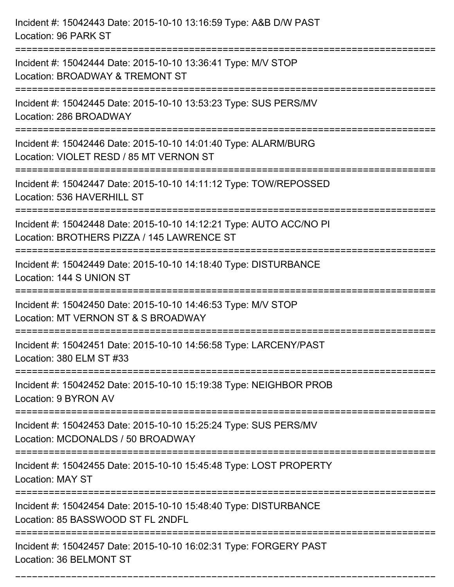| Incident #: 15042443 Date: 2015-10-10 13:16:59 Type: A&B D/W PAST<br>Location: 96 PARK ST                                         |
|-----------------------------------------------------------------------------------------------------------------------------------|
| Incident #: 15042444 Date: 2015-10-10 13:36:41 Type: M/V STOP<br>Location: BROADWAY & TREMONT ST                                  |
| Incident #: 15042445 Date: 2015-10-10 13:53:23 Type: SUS PERS/MV<br>Location: 286 BROADWAY                                        |
| Incident #: 15042446 Date: 2015-10-10 14:01:40 Type: ALARM/BURG<br>Location: VIOLET RESD / 85 MT VERNON ST                        |
| Incident #: 15042447 Date: 2015-10-10 14:11:12 Type: TOW/REPOSSED<br>Location: 536 HAVERHILL ST                                   |
| Incident #: 15042448 Date: 2015-10-10 14:12:21 Type: AUTO ACC/NO PI<br>Location: BROTHERS PIZZA / 145 LAWRENCE ST                 |
| Incident #: 15042449 Date: 2015-10-10 14:18:40 Type: DISTURBANCE<br>Location: 144 S UNION ST<br>================================= |
| Incident #: 15042450 Date: 2015-10-10 14:46:53 Type: M/V STOP<br>Location: MT VERNON ST & S BROADWAY                              |
| Incident #: 15042451 Date: 2015-10-10 14:56:58 Type: LARCENY/PAST<br>Location: 380 ELM ST #33                                     |
| Incident #: 15042452 Date: 2015-10-10 15:19:38 Type: NEIGHBOR PROB<br>Location: 9 BYRON AV                                        |
| Incident #: 15042453 Date: 2015-10-10 15:25:24 Type: SUS PERS/MV<br>Location: MCDONALDS / 50 BROADWAY                             |
| Incident #: 15042455 Date: 2015-10-10 15:45:48 Type: LOST PROPERTY<br><b>Location: MAY ST</b>                                     |
| Incident #: 15042454 Date: 2015-10-10 15:48:40 Type: DISTURBANCE<br>Location: 85 BASSWOOD ST FL 2NDFL                             |
| Incident #: 15042457 Date: 2015-10-10 16:02:31 Type: FORGERY PAST<br>Location: 36 BELMONT ST                                      |

===========================================================================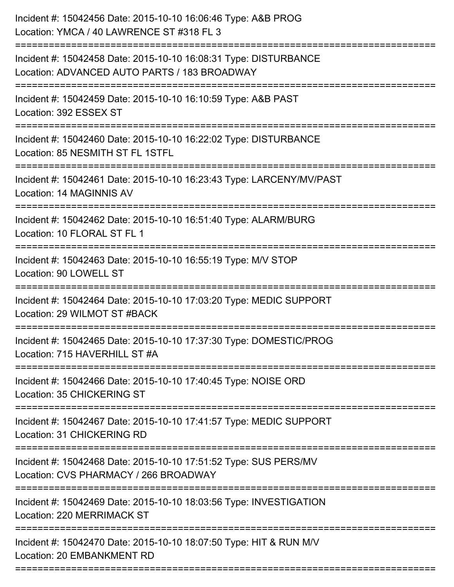| Incident #: 15042456 Date: 2015-10-10 16:06:46 Type: A&B PROG<br>Location: YMCA / 40 LAWRENCE ST #318 FL 3       |
|------------------------------------------------------------------------------------------------------------------|
| Incident #: 15042458 Date: 2015-10-10 16:08:31 Type: DISTURBANCE<br>Location: ADVANCED AUTO PARTS / 183 BROADWAY |
| Incident #: 15042459 Date: 2015-10-10 16:10:59 Type: A&B PAST<br>Location: 392 ESSEX ST                          |
| Incident #: 15042460 Date: 2015-10-10 16:22:02 Type: DISTURBANCE<br>Location: 85 NESMITH ST FL 1STFL             |
| Incident #: 15042461 Date: 2015-10-10 16:23:43 Type: LARCENY/MV/PAST<br>Location: 14 MAGINNIS AV                 |
| Incident #: 15042462 Date: 2015-10-10 16:51:40 Type: ALARM/BURG<br>Location: 10 FLORAL ST FL 1                   |
| Incident #: 15042463 Date: 2015-10-10 16:55:19 Type: M/V STOP<br>Location: 90 LOWELL ST                          |
| Incident #: 15042464 Date: 2015-10-10 17:03:20 Type: MEDIC SUPPORT<br>Location: 29 WILMOT ST #BACK               |
| Incident #: 15042465 Date: 2015-10-10 17:37:30 Type: DOMESTIC/PROG<br>Location: 715 HAVERHILL ST #A              |
| Incident #: 15042466 Date: 2015-10-10 17:40:45 Type: NOISE ORD<br><b>Location: 35 CHICKERING ST</b>              |
| Incident #: 15042467 Date: 2015-10-10 17:41:57 Type: MEDIC SUPPORT<br>Location: 31 CHICKERING RD                 |
| Incident #: 15042468 Date: 2015-10-10 17:51:52 Type: SUS PERS/MV<br>Location: CVS PHARMACY / 266 BROADWAY        |
| Incident #: 15042469 Date: 2015-10-10 18:03:56 Type: INVESTIGATION<br>Location: 220 MERRIMACK ST                 |
| Incident #: 15042470 Date: 2015-10-10 18:07:50 Type: HIT & RUN M/V<br>Location: 20 EMBANKMENT RD                 |
|                                                                                                                  |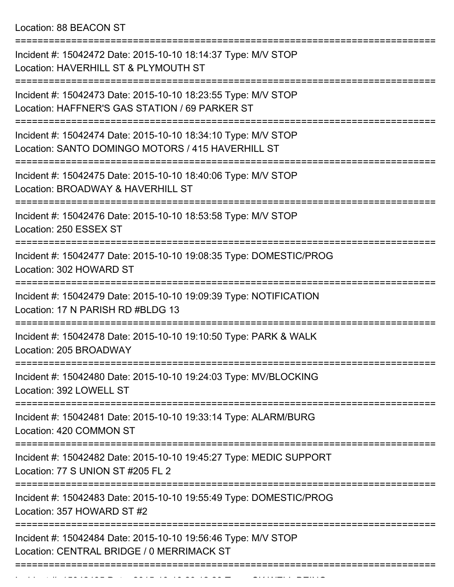Location: 88 BEACON ST

| Incident #: 15042472 Date: 2015-10-10 18:14:37 Type: M/V STOP<br>Location: HAVERHILL ST & PLYMOUTH ST                         |
|-------------------------------------------------------------------------------------------------------------------------------|
| Incident #: 15042473 Date: 2015-10-10 18:23:55 Type: M/V STOP<br>Location: HAFFNER'S GAS STATION / 69 PARKER ST               |
| Incident #: 15042474 Date: 2015-10-10 18:34:10 Type: M/V STOP<br>Location: SANTO DOMINGO MOTORS / 415 HAVERHILL ST            |
| Incident #: 15042475 Date: 2015-10-10 18:40:06 Type: M/V STOP<br>Location: BROADWAY & HAVERHILL ST                            |
| Incident #: 15042476 Date: 2015-10-10 18:53:58 Type: M/V STOP<br>Location: 250 ESSEX ST                                       |
| Incident #: 15042477 Date: 2015-10-10 19:08:35 Type: DOMESTIC/PROG<br>Location: 302 HOWARD ST                                 |
| Incident #: 15042479 Date: 2015-10-10 19:09:39 Type: NOTIFICATION<br>Location: 17 N PARISH RD #BLDG 13                        |
| Incident #: 15042478 Date: 2015-10-10 19:10:50 Type: PARK & WALK<br>Location: 205 BROADWAY                                    |
| =============<br>Incident #: 15042480 Date: 2015-10-10 19:24:03 Type: MV/BLOCKING<br>Location: 392 LOWELL ST                  |
| ======================<br>Incident #: 15042481 Date: 2015-10-10 19:33:14 Type: ALARM/BURG<br>Location: 420 COMMON ST          |
| Incident #: 15042482 Date: 2015-10-10 19:45:27 Type: MEDIC SUPPORT<br>Location: 77 S UNION ST #205 FL 2                       |
| -------------------------<br>Incident #: 15042483 Date: 2015-10-10 19:55:49 Type: DOMESTIC/PROG<br>Location: 357 HOWARD ST #2 |
| Incident #: 15042484 Date: 2015-10-10 19:56:46 Type: M/V STOP<br>Location: CENTRAL BRIDGE / 0 MERRIMACK ST                    |
|                                                                                                                               |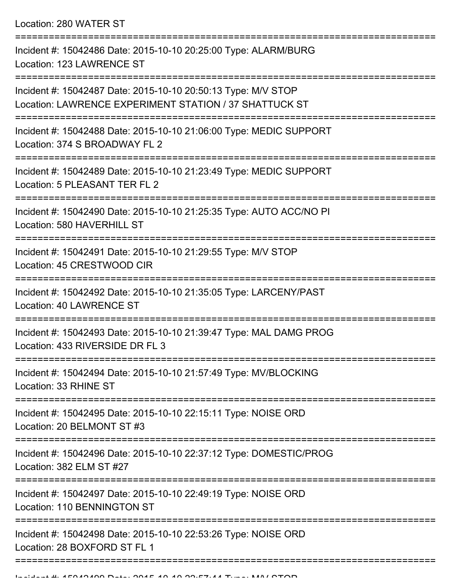Location: 280 WATER ST

| Incident #: 15042486 Date: 2015-10-10 20:25:00 Type: ALARM/BURG<br>Location: 123 LAWRENCE ST                            |
|-------------------------------------------------------------------------------------------------------------------------|
| Incident #: 15042487 Date: 2015-10-10 20:50:13 Type: M/V STOP<br>Location: LAWRENCE EXPERIMENT STATION / 37 SHATTUCK ST |
| Incident #: 15042488 Date: 2015-10-10 21:06:00 Type: MEDIC SUPPORT<br>Location: 374 S BROADWAY FL 2                     |
| Incident #: 15042489 Date: 2015-10-10 21:23:49 Type: MEDIC SUPPORT<br>Location: 5 PLEASANT TER FL 2                     |
| Incident #: 15042490 Date: 2015-10-10 21:25:35 Type: AUTO ACC/NO PI<br>Location: 580 HAVERHILL ST                       |
| Incident #: 15042491 Date: 2015-10-10 21:29:55 Type: M/V STOP<br>Location: 45 CRESTWOOD CIR                             |
| Incident #: 15042492 Date: 2015-10-10 21:35:05 Type: LARCENY/PAST<br><b>Location: 40 LAWRENCE ST</b>                    |
| Incident #: 15042493 Date: 2015-10-10 21:39:47 Type: MAL DAMG PROG<br>Location: 433 RIVERSIDE DR FL 3                   |
| Incident #: 15042494 Date: 2015-10-10 21:57:49 Type: MV/BLOCKING<br>Location: 33 RHINE ST                               |
| ================<br>Incident #: 15042495 Date: 2015-10-10 22:15:11 Type: NOISE ORD<br>Location: 20 BELMONT ST #3        |
| Incident #: 15042496 Date: 2015-10-10 22:37:12 Type: DOMESTIC/PROG<br>Location: 382 ELM ST #27                          |
| Incident #: 15042497 Date: 2015-10-10 22:49:19 Type: NOISE ORD<br>Location: 110 BENNINGTON ST                           |
| Incident #: 15042498 Date: 2015-10-10 22:53:26 Type: NOISE ORD<br>Location: 28 BOXFORD ST FL 1                          |
|                                                                                                                         |